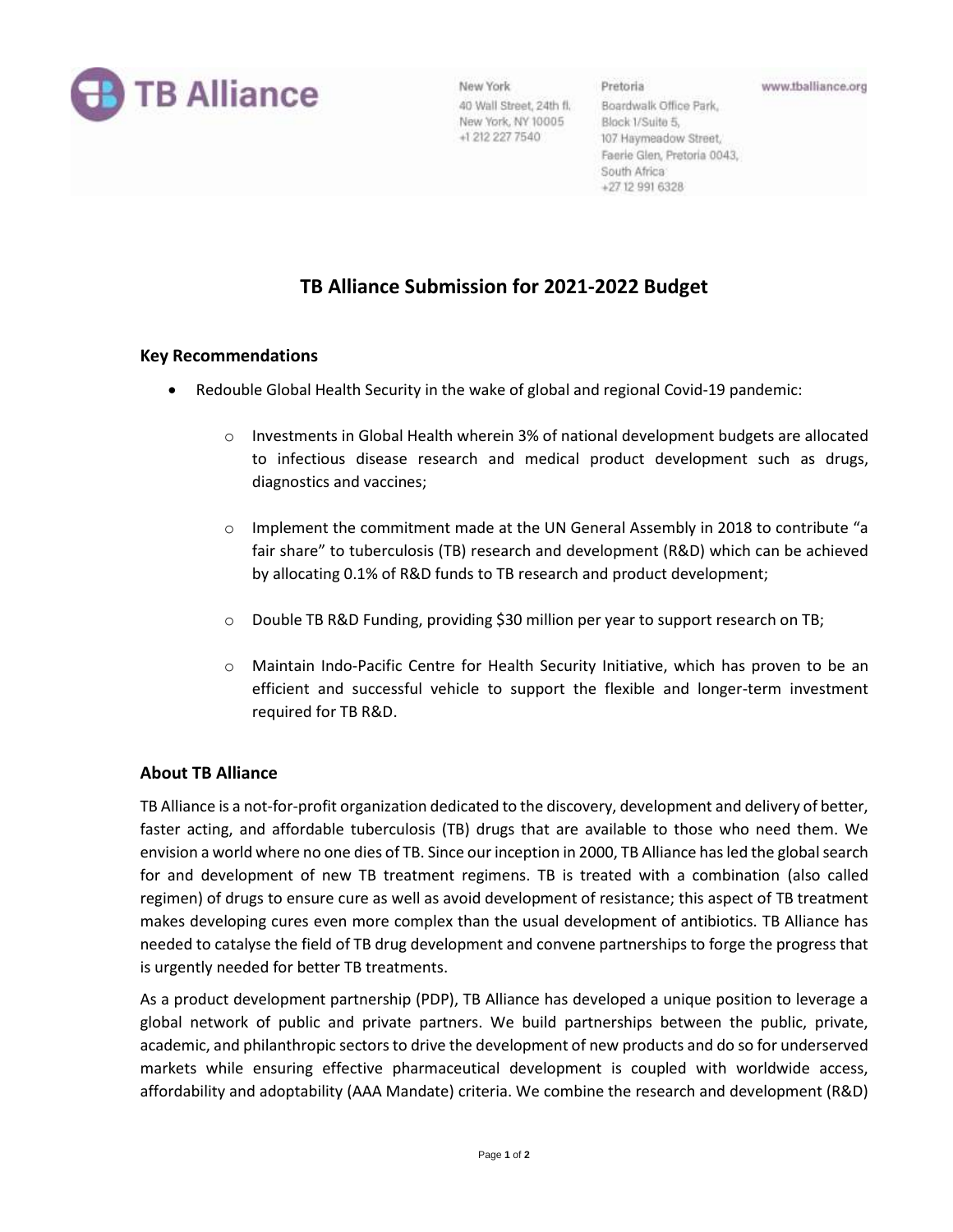

New York 40 Wall Street, 24th fl. New York, NY 10005 +1 212 227 7540

Boardwalk Office Park, Block 1/Suite 5, 107 Haymeadow Street, Faerie Glen, Pretoria 0043, South Africa +27 12 991 6328

# **TB Alliance Submission for 2021-2022 Budget**

### **Key Recommendations**

- Redouble Global Health Security in the wake of global and regional Covid-19 pandemic:
	- $\circ$  Investments in Global Health wherein 3% of national development budgets are allocated to infectious disease research and medical product development such as drugs, diagnostics and vaccines;
	- $\circ$  Implement the commitment made at the UN General Assembly in 2018 to contribute "a fair share" to tuberculosis (TB) research and development (R&D) which can be achieved by allocating 0.1% of R&D funds to TB research and product development;
	- o Double TB R&D Funding, providing \$30 million per year to support research on TB;
	- o Maintain Indo-Pacific Centre for Health Security Initiative, which has proven to be an efficient and successful vehicle to support the flexible and longer-term investment required for TB R&D.

## **About TB Alliance**

TB Alliance is a not-for-profit organization dedicated to the discovery, development and delivery of better, faster acting, and affordable tuberculosis (TB) drugs that are available to those who need them. We envision a world where no one dies of TB. Since our inception in 2000, TB Alliance has led the global search for and development of new TB treatment regimens. TB is treated with a combination (also called regimen) of drugs to ensure cure as well as avoid development of resistance; this aspect of TB treatment makes developing cures even more complex than the usual development of antibiotics. TB Alliance has needed to catalyse the field of TB drug development and convene partnerships to forge the progress that is urgently needed for better TB treatments.

As a product development partnership (PDP), TB Alliance has developed a unique position to leverage a global network of public and private partners. We build partnerships between the public, private, academic, and philanthropic sectors to drive the development of new products and do so for underserved markets while ensuring effective pharmaceutical development is coupled with worldwide access, affordability and adoptability (AAA Mandate) criteria. We combine the research and development (R&D)